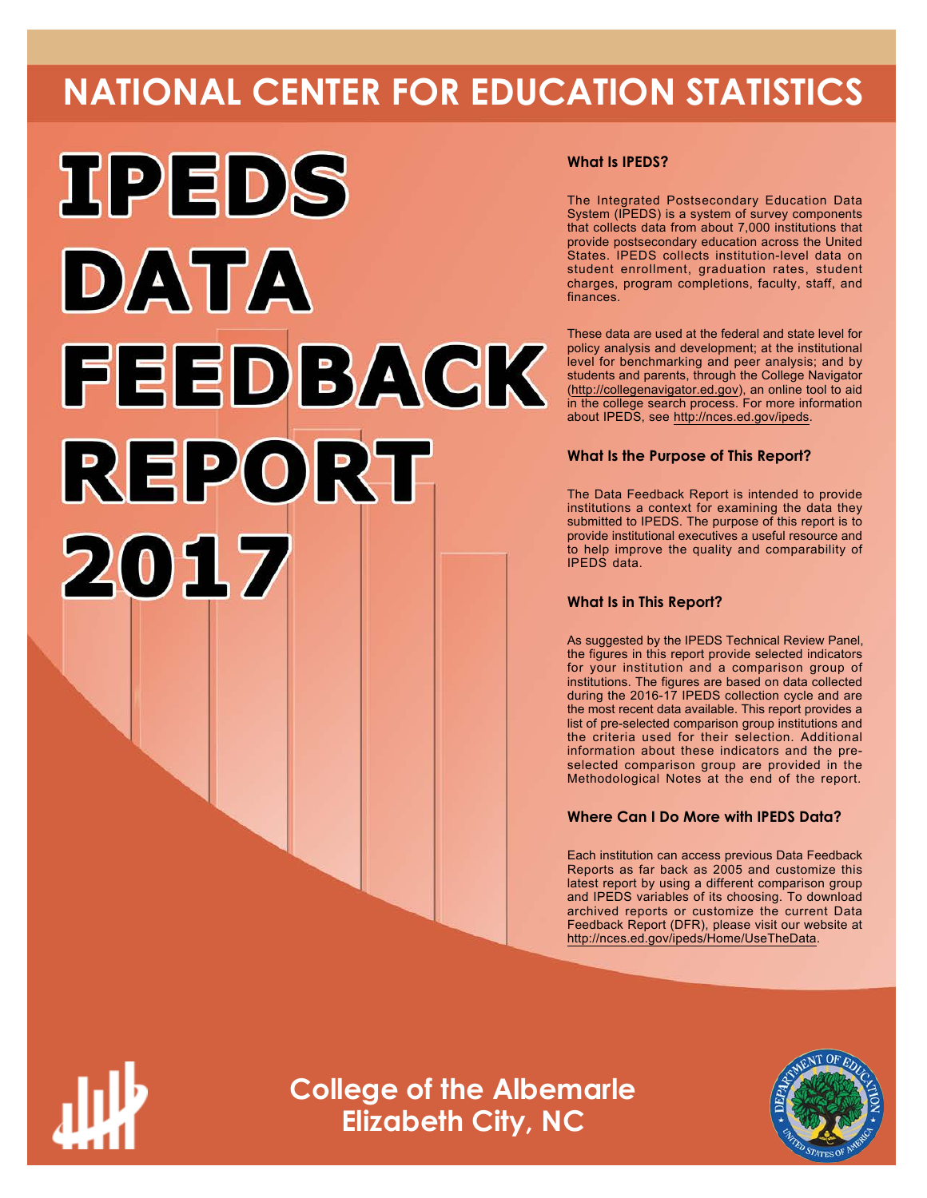# **NATIONAL CENTER FOR EDUCATION STATISTICS**



# **What Is IPEDS?**

The Integrated Postsecondary Education Data System (IPEDS) is a system of survey components that collects data from about 7,000 institutions that provide postsecondary education across the United States. IPEDS collects institution-level data on student enrollment, graduation rates, student charges, program completions, faculty, staff, and finances.

These data are used at the federal and state level for policy analysis and development; at the institutional level for benchmarking and peer analysis; and by students and parents, through the College Navigator ([http://collegenavigator.ed.gov\)](http://collegenavigator.ed.gov), an online tool to aid in the college search process. For more information about IPEDS, see [http://nces.ed.gov/ipeds.](http://nces.ed.gov/ipeds)

# **What Is the Purpose of This Report?**

The Data Feedback Report is intended to provide institutions a context for examining the data they submitted to IPEDS. The purpose of this report is to provide institutional executives a useful resource and to help improve the quality and comparability of IPEDS data.

### **What Is in This Report?**

As suggested by the IPEDS Technical Review Panel, the figures in this report provide selected indicators for your institution and a comparison group of institutions. The figures are based on data collected during the 2016-17 IPEDS collection cycle and are the most recent data available. This report provides a list of pre-selected comparison group institutions and the criteria used for their selection. Additional information about these indicators and the preselected comparison group are provided in the Methodological Notes at the end of the report.

# **Where Can I Do More with IPEDS Data?**

Each institution can access previous Data Feedback Reports as far back as 2005 and customize this latest report by using a different comparison group and IPEDS variables of its choosing. To download archived reports or customize the current Data Feedback Report (DFR), please visit our website at <http://nces.ed.gov/ipeds/Home/UseTheData>.



**College of the Albemarle Elizabeth City, NC**

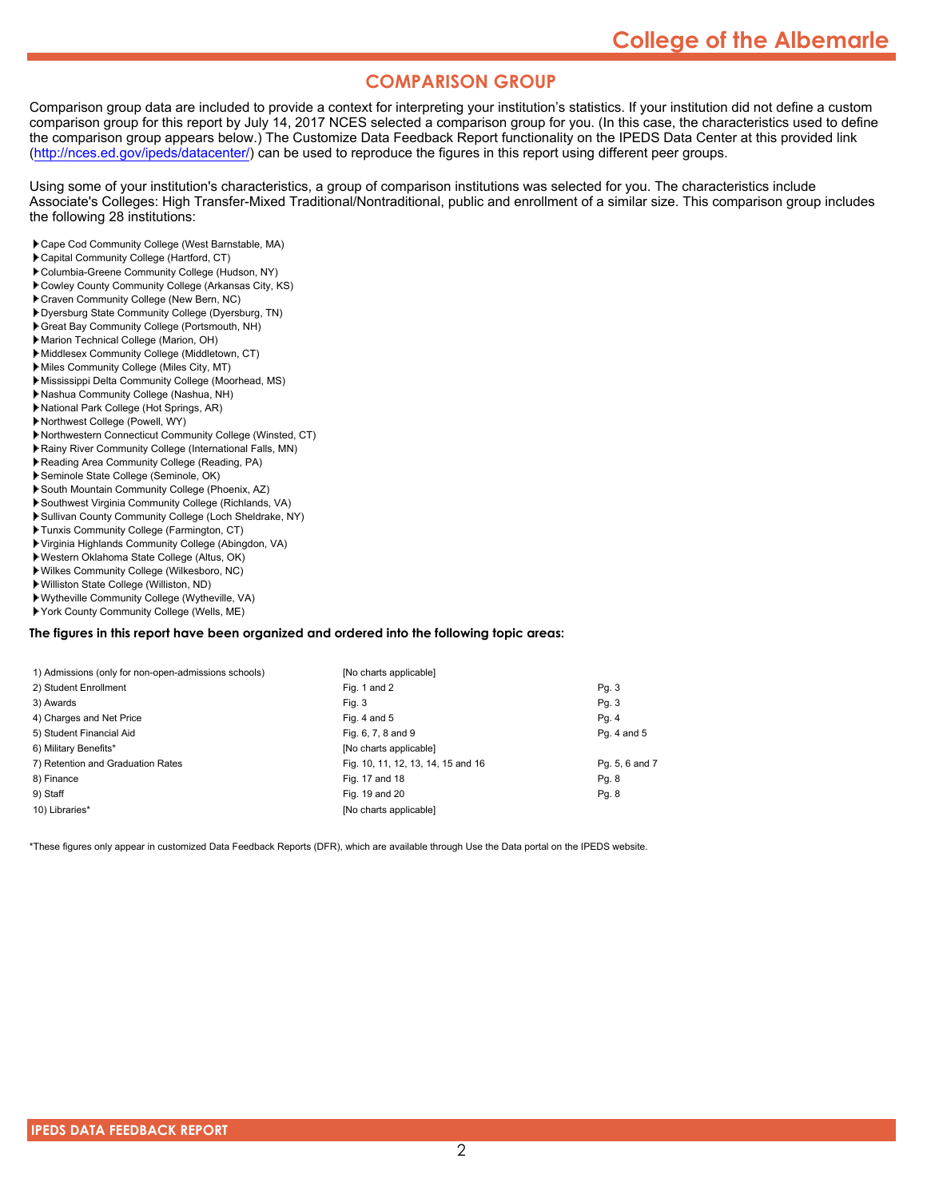# **COMPARISON GROUP**

Comparison group data are included to provide a context for interpreting your institution's statistics. If your institution did not define a custom comparison group for this report by July 14, 2017 NCES selected a comparison group for you. (In this case, the characteristics used to define the comparison group appears below.) The Customize Data Feedback Report functionality on the IPEDS Data Center at this provided link [\(http://nces.ed.gov/ipeds/datacenter/\)](http://nces.ed.gov/ipeds/datacenter/) can be used to reproduce the figures in this report using different peer groups.

Using some of your institution's characteristics, a group of comparison institutions was selected for you. The characteristics include Associate's Colleges: High Transfer-Mixed Traditional/Nontraditional, public and enrollment of a similar size. This comparison group includes the following 28 institutions:

- Cape Cod Community College (West Barnstable, MA)
- Capital Community College (Hartford, CT)
- Columbia-Greene Community College (Hudson, NY)
- Cowley County Community College (Arkansas City, KS)
- Craven Community College (New Bern, NC)
- Dyersburg State Community College (Dyersburg, TN)
- Great Bay Community College (Portsmouth, NH)
- Marion Technical College (Marion, OH)
- Middlesex Community College (Middletown, CT)
- Miles Community College (Miles City, MT) Mississippi Delta Community College (Moorhead, MS)
- Nashua Community College (Nashua, NH)
- National Park College (Hot Springs, AR)
- Northwest College (Powell, WY)
- Northwestern Connecticut Community College (Winsted, CT)
- Rainy River Community College (International Falls, MN)
- Reading Area Community College (Reading, PA)
- Seminole State College (Seminole, OK)
- South Mountain Community College (Phoenix, AZ)
- Southwest Virginia Community College (Richlands, VA)
- Sullivan County Community College (Loch Sheldrake, NY)
- Tunxis Community College (Farmington, CT)
- Virginia Highlands Community College (Abingdon, VA)
- Western Oklahoma State College (Altus, OK)
- Wilkes Community College (Wilkesboro, NC)
- Williston State College (Williston, ND)
- Wytheville Community College (Wytheville, VA)
- York County Community College (Wells, ME)

#### **The figures in this report have been organized and ordered into the following topic areas:**

| 1) Admissions (only for non-open-admissions schools) | [No charts applicable]             |                |
|------------------------------------------------------|------------------------------------|----------------|
| 2) Student Enrollment                                | Fig. 1 and 2                       | Pg. 3          |
| 3) Awards                                            | Fig. 3                             | Pg. 3          |
| 4) Charges and Net Price                             | Fig. 4 and $5$                     | Pg. 4          |
| 5) Student Financial Aid                             | Fig. 6, 7, 8 and 9                 | Pg. 4 and 5    |
| 6) Military Benefits*                                | [No charts applicable]             |                |
| 7) Retention and Graduation Rates                    | Fig. 10, 11, 12, 13, 14, 15 and 16 | Pg. 5, 6 and 7 |
| 8) Finance                                           | Fig. 17 and 18                     | Pg. 8          |
| 9) Staff                                             | Fig. 19 and 20                     | Pg. 8          |
| 10) Libraries*                                       | [No charts applicable]             |                |

\*These figures only appear in customized Data Feedback Reports (DFR), which are available through Use the Data portal on the IPEDS website.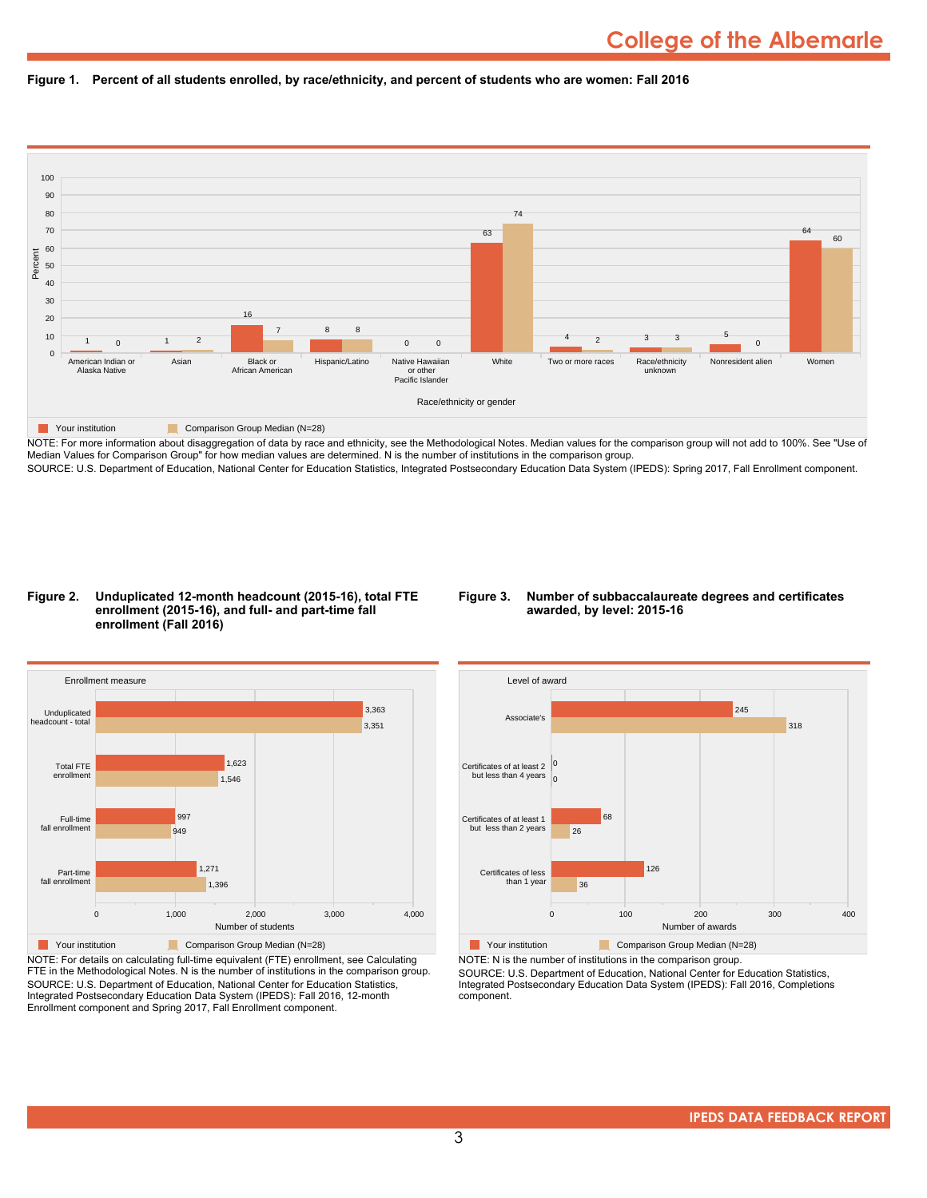



NOTE: For more information about disaggregation of data by race and ethnicity, see the Methodological Notes. Median values for the comparison group will not add to 100%. See "Use of Median Values for Comparison Group" for how median values are determined. N is the number of institutions in the comparison group. SOURCE: U.S. Department of Education, National Center for Education Statistics, Integrated Postsecondary Education Data System (IPEDS): Spring 2017, Fall Enrollment component.

#### **Figure 2. Unduplicated 12-month headcount (2015-16), total FTE enrollment (2015-16), and full- and part-time fall enrollment (Fall 2016)**

#### **Figure 3. Number of subbaccalaureate degrees and certificates awarded, by level: 2015-16**



NOTE: For details on calculating full-time equivalent (FTE) enrollment, see Calculating FTE in the Methodological Notes. N is the number of institutions in the comparison group. SOURCE: U.S. Department of Education, National Center for Education Statistics, Integrated Postsecondary Education Data System (IPEDS): Fall 2016, 12-month Enrollment component and Spring 2017, Fall Enrollment component.



NOTE: N is the number of institutions in the comparison group.

SOURCE: U.S. Department of Education, National Center for Education Statistics, Integrated Postsecondary Education Data System (IPEDS): Fall 2016, Completions component.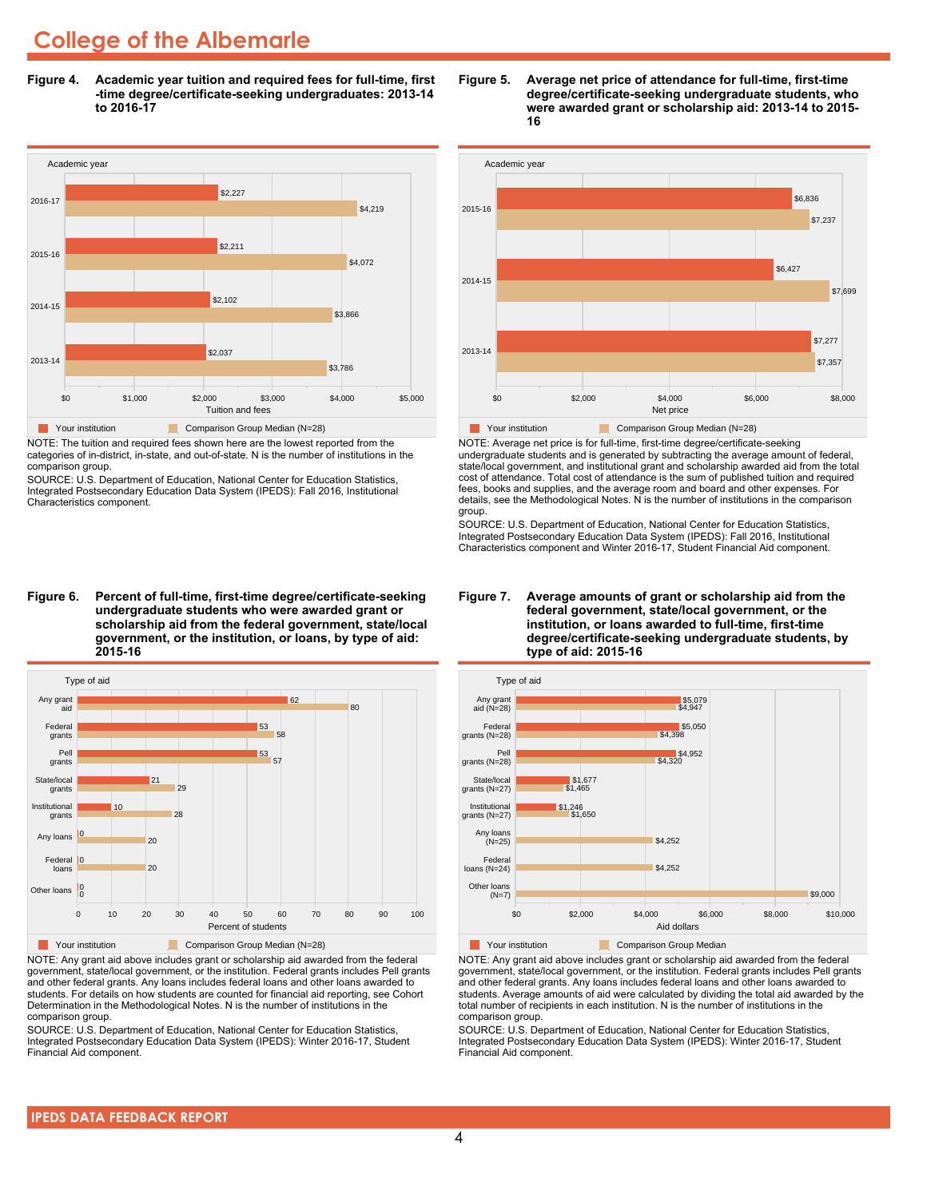# **College of the Albemarle**

**Figure 4. Academic year tuition and required fees for full-time, first -time degree/certificate-seeking undergraduates: 2013-14 to 2016-17**



NOTE: The tuition and required fees shown here are the lowest reported from the categories of in-district, in-state, and out-of-state. N is the number of institutions in the comparison group.

SOURCE: U.S. Department of Education, National Center for Education Statistics, Integrated Postsecondary Education Data System (IPEDS): Fall 2016, Institutional Characteristics component.

**Figure 6. Percent of full-time, first-time degree/certificate-seeking undergraduate students who were awarded grant or scholarship aid from the federal government, state/local government, or the institution, or loans, by type of aid: 2015-16**



NOTE: Any grant aid above includes grant or scholarship aid awarded from the federal government, state/local government, or the institution. Federal grants includes Pell grants and other federal grants. Any loans includes federal loans and other loans awarded to students. For details on how students are counted for financial aid reporting, see Cohort Determination in the Methodological Notes. N is the number of institutions in the comparison group.

SOURCE: U.S. Department of Education, National Center for Education Statistics, Integrated Postsecondary Education Data System (IPEDS): Winter 2016-17, Student Financial Aid component.





NOTE: Average net price is for full-time, first-time degree/certificate-seeking undergraduate students and is generated by subtracting the average amount of federal, state/local government, and institutional grant and scholarship awarded aid from the total cost of attendance. Total cost of attendance is the sum of published tuition and required fees, books and supplies, and the average room and board and other expenses. For details, see the Methodological Notes. N is the number of institutions in the comparison group.

SOURCE: U.S. Department of Education, National Center for Education Statistics, Integrated Postsecondary Education Data System (IPEDS): Fall 2016, Institutional Characteristics component and Winter 2016-17, Student Financial Aid component.





**The Comparison Group Median**<br> **Comparison Group Median** 

NOTE: Any grant aid above includes grant or scholarship aid awarded from the federal government, state/local government, or the institution. Federal grants includes Pell grants and other federal grants. Any loans includes federal loans and other loans awarded to students. Average amounts of aid were calculated by dividing the total aid awarded by the total number of recipients in each institution. N is the number of institutions in the comparison group.

SOURCE: U.S. Department of Education, National Center for Education Statistics, Integrated Postsecondary Education Data System (IPEDS): Winter 2016-17, Student Financial Aid component.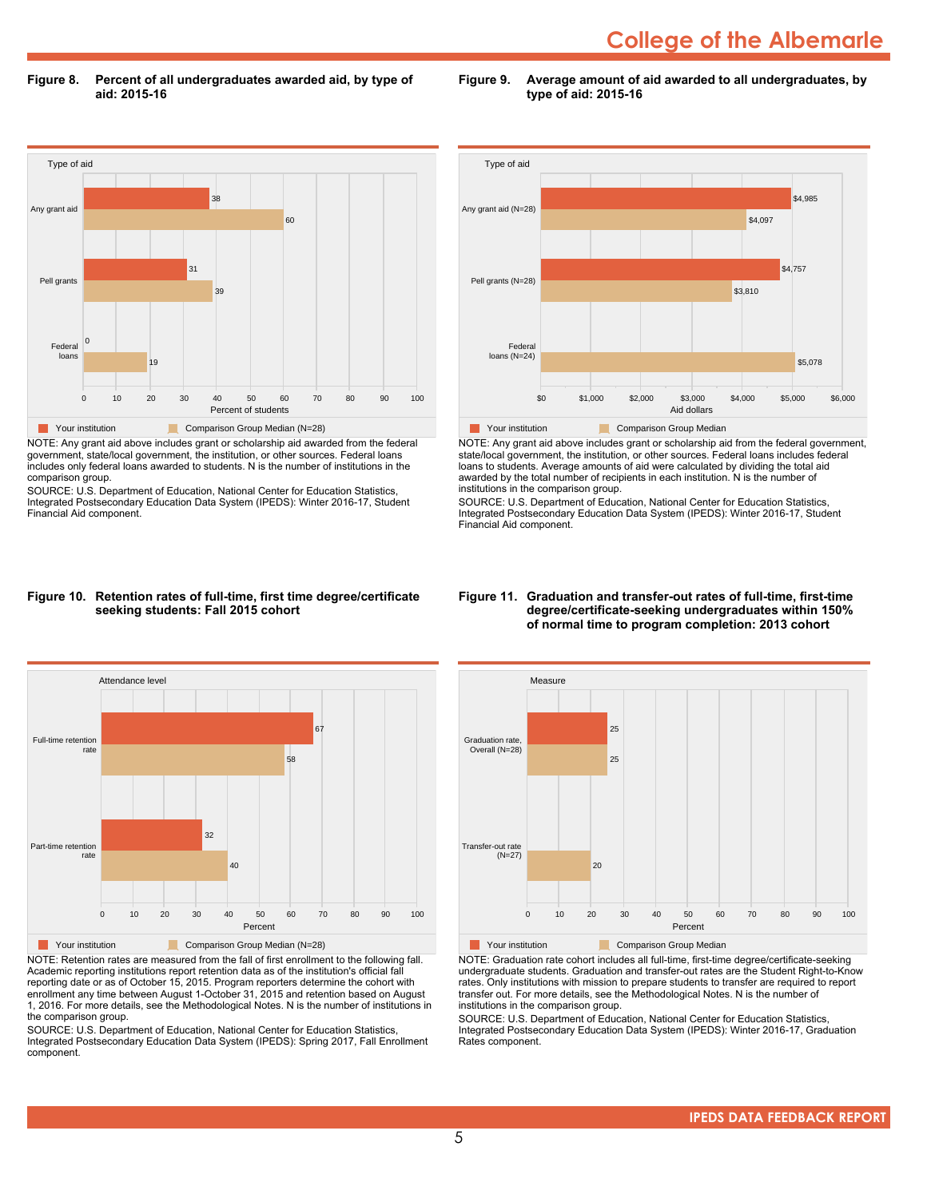# **College of the Albemarle**

**Figure 8. Percent of all undergraduates awarded aid, by type of aid: 2015-16**

Type of aid 0 10 20 30 40 50 60 70 80 90 100 Percent of students Federal loans Pell grants Any grant aid 19 0  $\overline{3}$ 31 60 38 **The Comparison Group Median (N=28)** Comparison Group Median (N=28) NOTE: Any grant aid above includes grant or scholarship aid awarded from the federal

government, state/local government, the institution, or other sources. Federal loans includes only federal loans awarded to students. N is the number of institutions in the comparison group.

SOURCE: U.S. Department of Education, National Center for Education Statistics, Integrated Postsecondary Education Data System (IPEDS): Winter 2016-17, Student Financial Aid component.



**Figure 9. Average amount of aid awarded to all undergraduates, by**

**type of aid: 2015-16**

NOTE: Any grant aid above includes grant or scholarship aid from the federal government, state/local government, the institution, or other sources. Federal loans includes federal loans to students. Average amounts of aid were calculated by dividing the total aid awarded by the total number of recipients in each institution. N is the number of institutions in the comparison group.

SOURCE: U.S. Department of Education, National Center for Education Statistics, Integrated Postsecondary Education Data System (IPEDS): Winter 2016-17, Student Financial Aid component.

#### **Figure 10. Retention rates of full-time, first time degree/certificate seeking students: Fall 2015 cohort**



NOTE: Retention rates are measured from the fall of first enrollment to the following fall. Academic reporting institutions report retention data as of the institution's official fall reporting date or as of October 15, 2015. Program reporters determine the cohort with enrollment any time between August 1-October 31, 2015 and retention based on August 1, 2016. For more details, see the Methodological Notes. N is the number of institutions in the comparison group.

SOURCE: U.S. Department of Education, National Center for Education Statistics, Integrated Postsecondary Education Data System (IPEDS): Spring 2017, Fall Enrollment component.

#### **Figure 11. Graduation and transfer-out rates of full-time, first-time degree/certificate-seeking undergraduates within 150% of normal time to program completion: 2013 cohort**



NOTE: Graduation rate cohort includes all full-time, first-time degree/certificate-seeking undergraduate students. Graduation and transfer-out rates are the Student Right-to-Know rates. Only institutions with mission to prepare students to transfer are required to report transfer out. For more details, see the Methodological Notes. N is the number of institutions in the comparison group.

SOURCE: U.S. Department of Education, National Center for Education Statistics, Integrated Postsecondary Education Data System (IPEDS): Winter 2016-17, Graduation Rates component.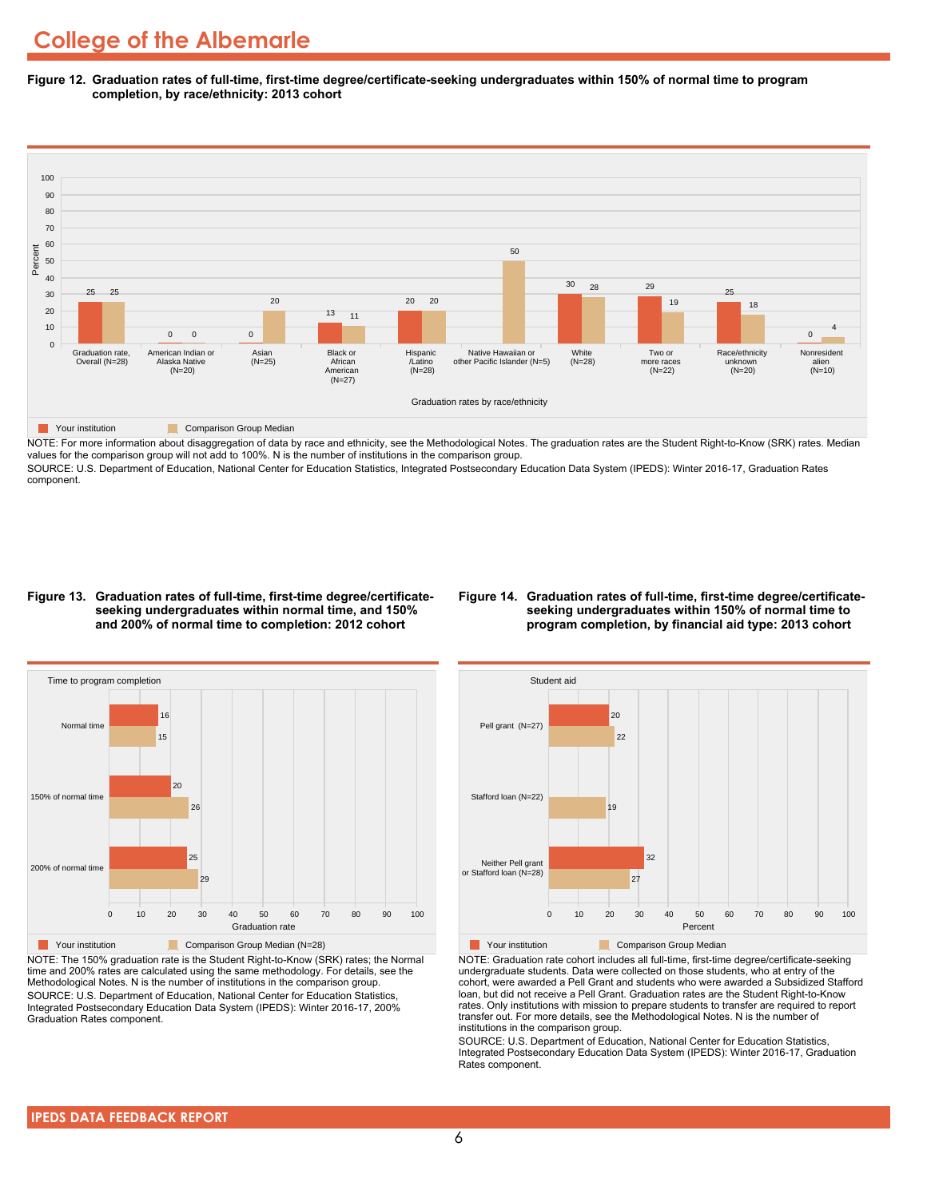**Figure 12. Graduation rates of full-time, first-time degree/certificate-seeking undergraduates within 150% of normal time to program completion, by race/ethnicity: 2013 cohort**



NOTE: For more information about disaggregation of data by race and ethnicity, see the Methodological Notes. The graduation rates are the Student Right-to-Know (SRK) rates. Median values for the comparison group will not add to 100%. N is the number of institutions in the comparison group.

SOURCE: U.S. Department of Education, National Center for Education Statistics, Integrated Postsecondary Education Data System (IPEDS): Winter 2016-17, Graduation Rates component.

#### **Figure 13. Graduation rates of full-time, first-time degree/certificateseeking undergraduates within normal time, and 150% and 200% of normal time to completion: 2012 cohort**

#### **Figure 14. Graduation rates of full-time, first-time degree/certificateseeking undergraduates within 150% of normal time to program completion, by financial aid type: 2013 cohort**



NOTE: The 150% graduation rate is the Student Right-to-Know (SRK) rates; the Normal time and 200% rates are calculated using the same methodology. For details, see the Methodological Notes. N is the number of institutions in the comparison group. SOURCE: U.S. Department of Education, National Center for Education Statistics, Integrated Postsecondary Education Data System (IPEDS): Winter 2016-17, 200% Graduation Rates component.



NOTE: Graduation rate cohort includes all full-time, first-time degree/certificate-seeking undergraduate students. Data were collected on those students, who at entry of the cohort, were awarded a Pell Grant and students who were awarded a Subsidized Stafford loan, but did not receive a Pell Grant. Graduation rates are the Student Right-to-Know rates. Only institutions with mission to prepare students to transfer are required to report transfer out. For more details, see the Methodological Notes. N is the number of institutions in the comparison group.

SOURCE: U.S. Department of Education, National Center for Education Statistics, Integrated Postsecondary Education Data System (IPEDS): Winter 2016-17, Graduation Rates component.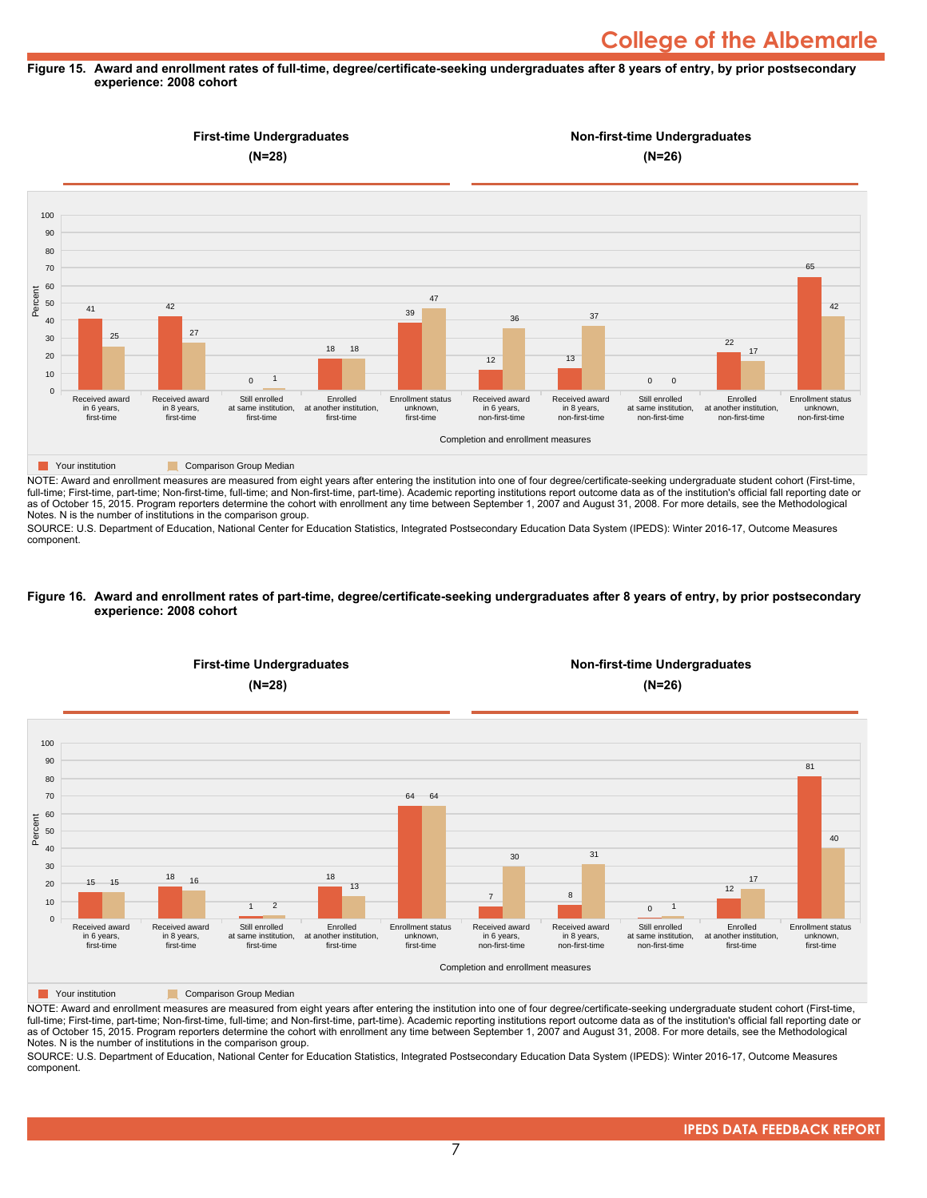#### **Figure 15. Award and enrollment rates of full-time, degree/certificate-seeking undergraduates after 8 years of entry, by prior postsecondary experience: 2008 cohort**



NOTE: Award and enrollment measures are measured from eight years after entering the institution into one of four degree/certificate-seeking undergraduate student cohort (First-time, full-time; First-time, part-time; Non-first-time, full-time; and Non-first-time, part-time). Academic reporting institutions report outcome data as of the institution's official fall reporting date or as of October 15, 2015. Program reporters determine the cohort with enrollment any time between September 1, 2007 and August 31, 2008. For more details, see the Methodological Notes. N is the number of institutions in the comparison group.

SOURCE: U.S. Department of Education, National Center for Education Statistics, Integrated Postsecondary Education Data System (IPEDS): Winter 2016-17, Outcome Measures component.

#### **Figure 16. Award and enrollment rates of part-time, degree/certificate-seeking undergraduates after 8 years of entry, by prior postsecondary experience: 2008 cohort**



NOTE: Award and enrollment measures are measured from eight years after entering the institution into one of four degree/certificate-seeking undergraduate student cohort (First-time, full-time; First-time, part-time; Non-first-time, full-time; and Non-first-time, part-time). Academic reporting institutions report outcome data as of the institution's official fall reporting date or as of October 15, 2015. Program reporters determine the cohort with enrollment any time between September 1, 2007 and August 31, 2008. For more details, see the Methodological Notes. N is the number of institutions in the comparison group.

SOURCE: U.S. Department of Education, National Center for Education Statistics, Integrated Postsecondary Education Data System (IPEDS): Winter 2016-17, Outcome Measures component.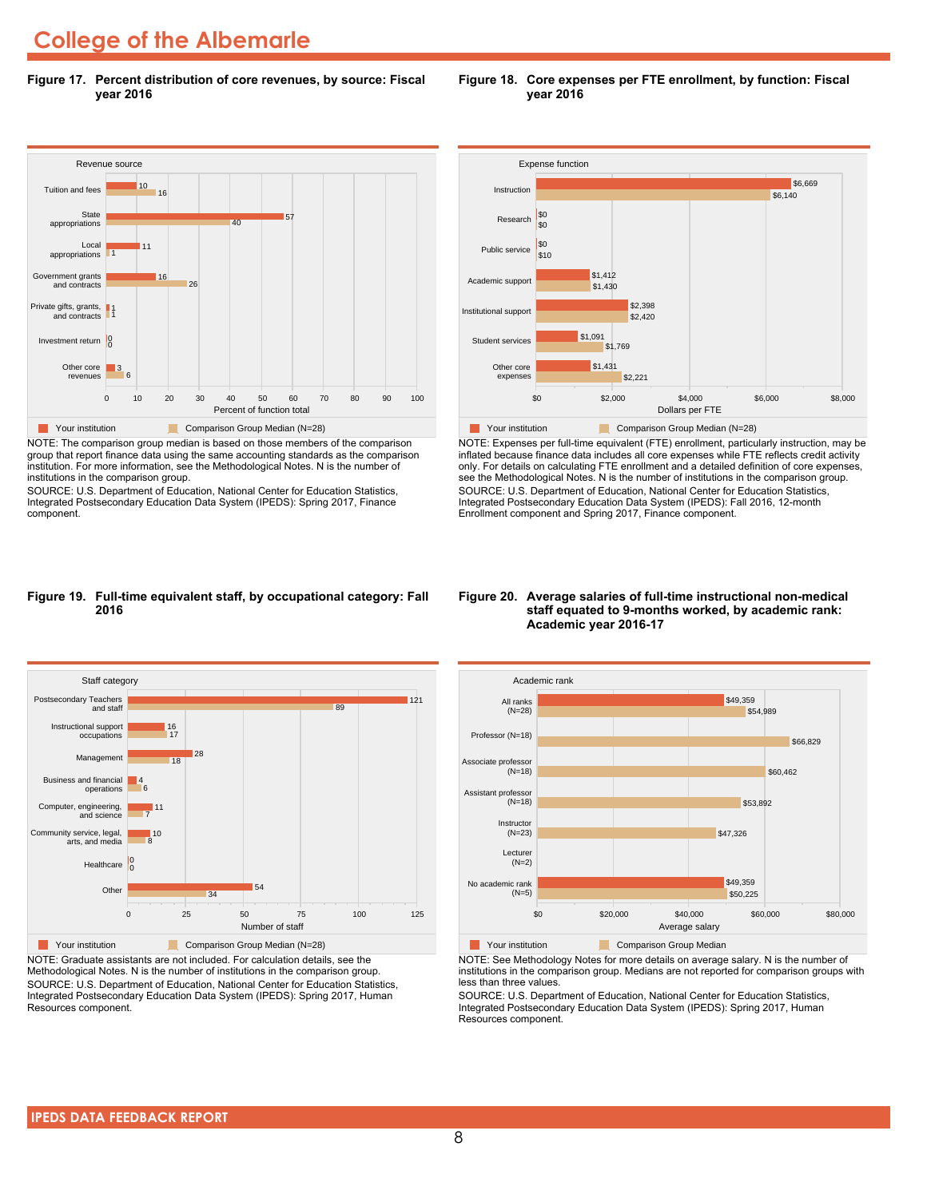# **College of the Albemarle**

**Figure 17. Percent distribution of core revenues, by source: Fiscal year 2016**



NOTE: The comparison group median is based on those members of the comparison group that report finance data using the same accounting standards as the comparison institution. For more information, see the Methodological Notes. N is the number of institutions in the comparison group.

SOURCE: U.S. Department of Education, National Center for Education Statistics, Integrated Postsecondary Education Data System (IPEDS): Spring 2017, Finance component.





NOTE: Expenses per full-time equivalent (FTE) enrollment, particularly instruction, may be inflated because finance data includes all core expenses while FTE reflects credit activity only. For details on calculating FTE enrollment and a detailed definition of core expenses, see the Methodological Notes. N is the number of institutions in the comparison group. SOURCE: U.S. Department of Education, National Center for Education Statistics, Integrated Postsecondary Education Data System (IPEDS): Fall 2016, 12-month Enrollment component and Spring 2017, Finance component.

#### **Figure 19. Full-time equivalent staff, by occupational category: Fall 2016**



NOTE: Graduate assistants are not included. For calculation details, see the Methodological Notes. N is the number of institutions in the comparison group. SOURCE: U.S. Department of Education, National Center for Education Statistics, Integrated Postsecondary Education Data System (IPEDS): Spring 2017, Human Resources component.

#### **Figure 20. Average salaries of full-time instructional non-medical staff equated to 9-months worked, by academic rank: Academic year 2016-17**



NOTE: See Methodology Notes for more details on average salary. N is the number of institutions in the comparison group. Medians are not reported for comparison groups with less than three values.

SOURCE: U.S. Department of Education, National Center for Education Statistics, Integrated Postsecondary Education Data System (IPEDS): Spring 2017, Human Resources component.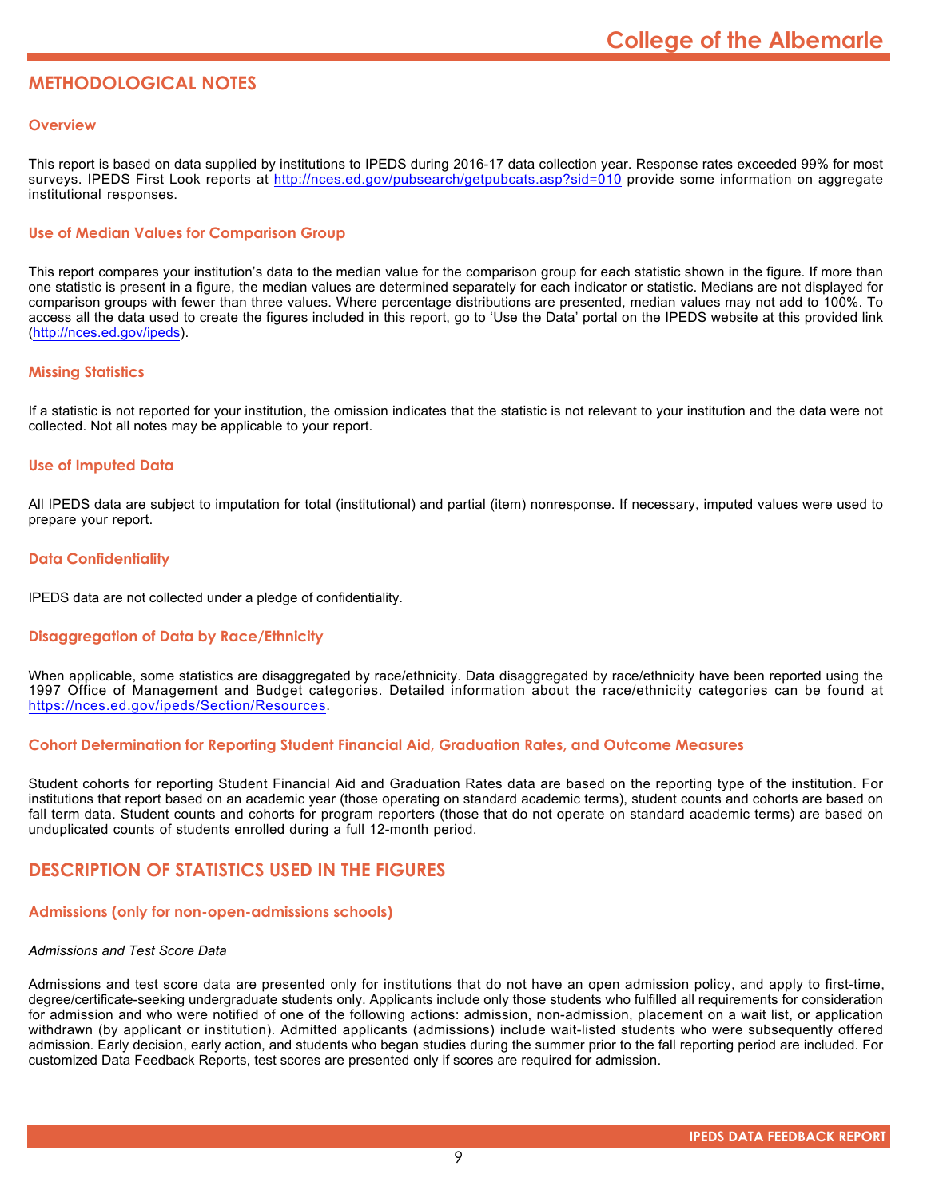# **METHODOLOGICAL NOTES**

### **Overview**

This report is based on data supplied by institutions to IPEDS during 2016-17 data collection year. Response rates exceeded 99% for most surveys. IPEDS First Look reports at <http://nces.ed.gov/pubsearch/getpubcats.asp?sid=010> provide some information on aggregate institutional responses.

# **Use of Median Values for Comparison Group**

This report compares your institution's data to the median value for the comparison group for each statistic shown in the figure. If more than one statistic is present in a figure, the median values are determined separately for each indicator or statistic. Medians are not displayed for comparison groups with fewer than three values. Where percentage distributions are presented, median values may not add to 100%. To access all the data used to create the figures included in this report, go to 'Use the Data' portal on the IPEDS website at this provided link (<http://nces.ed.gov/ipeds>).

# **Missing Statistics**

If a statistic is not reported for your institution, the omission indicates that the statistic is not relevant to your institution and the data were not collected. Not all notes may be applicable to your report.

# **Use of Imputed Data**

All IPEDS data are subject to imputation for total (institutional) and partial (item) nonresponse. If necessary, imputed values were used to prepare your report.

# **Data Confidentiality**

IPEDS data are not collected under a pledge of confidentiality.

# **Disaggregation of Data by Race/Ethnicity**

When applicable, some statistics are disaggregated by race/ethnicity. Data disaggregated by race/ethnicity have been reported using the 1997 Office of Management and Budget categories. Detailed information about the race/ethnicity categories can be found at <https://nces.ed.gov/ipeds/Section/Resources>.

#### **Cohort Determination for Reporting Student Financial Aid, Graduation Rates, and Outcome Measures**

Student cohorts for reporting Student Financial Aid and Graduation Rates data are based on the reporting type of the institution. For institutions that report based on an academic year (those operating on standard academic terms), student counts and cohorts are based on fall term data. Student counts and cohorts for program reporters (those that do not operate on standard academic terms) are based on unduplicated counts of students enrolled during a full 12-month period.

# **DESCRIPTION OF STATISTICS USED IN THE FIGURES**

#### **Admissions (only for non-open-admissions schools)**

#### *Admissions and Test Score Data*

Admissions and test score data are presented only for institutions that do not have an open admission policy, and apply to first-time, degree/certificate-seeking undergraduate students only. Applicants include only those students who fulfilled all requirements for consideration for admission and who were notified of one of the following actions: admission, non-admission, placement on a wait list, or application withdrawn (by applicant or institution). Admitted applicants (admissions) include wait-listed students who were subsequently offered admission. Early decision, early action, and students who began studies during the summer prior to the fall reporting period are included. For customized Data Feedback Reports, test scores are presented only if scores are required for admission.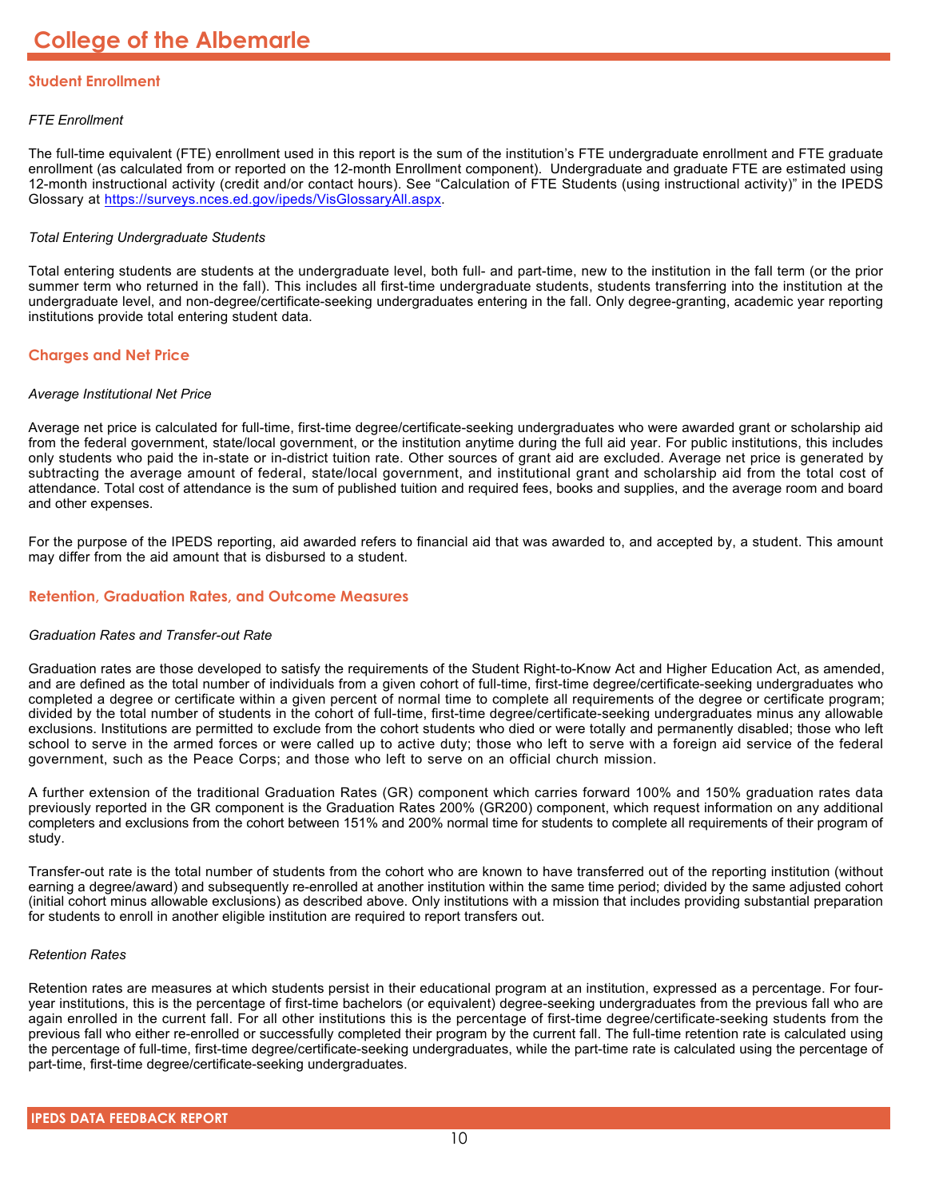# **Student Enrollment**

# *FTE Enrollment*

The full-time equivalent (FTE) enrollment used in this report is the sum of the institution's FTE undergraduate enrollment and FTE graduate enrollment (as calculated from or reported on the 12-month Enrollment component). Undergraduate and graduate FTE are estimated using 12-month instructional activity (credit and/or contact hours). See "Calculation of FTE Students (using instructional activity)" in the IPEDS Glossary at <https://surveys.nces.ed.gov/ipeds/VisGlossaryAll.aspx>.

# *Total Entering Undergraduate Students*

Total entering students are students at the undergraduate level, both full- and part-time, new to the institution in the fall term (or the prior summer term who returned in the fall). This includes all first-time undergraduate students, students transferring into the institution at the undergraduate level, and non-degree/certificate-seeking undergraduates entering in the fall. Only degree-granting, academic year reporting institutions provide total entering student data.

# **Charges and Net Price**

#### *Average Institutional Net Price*

Average net price is calculated for full-time, first-time degree/certificate-seeking undergraduates who were awarded grant or scholarship aid from the federal government, state/local government, or the institution anytime during the full aid year. For public institutions, this includes only students who paid the in-state or in-district tuition rate. Other sources of grant aid are excluded. Average net price is generated by subtracting the average amount of federal, state/local government, and institutional grant and scholarship aid from the total cost of attendance. Total cost of attendance is the sum of published tuition and required fees, books and supplies, and the average room and board and other expenses.

For the purpose of the IPEDS reporting, aid awarded refers to financial aid that was awarded to, and accepted by, a student. This amount may differ from the aid amount that is disbursed to a student.

# **Retention, Graduation Rates, and Outcome Measures**

# *Graduation Rates and Transfer-out Rate*

Graduation rates are those developed to satisfy the requirements of the Student Right-to-Know Act and Higher Education Act, as amended, and are defined as the total number of individuals from a given cohort of full-time, first-time degree/certificate-seeking undergraduates who completed a degree or certificate within a given percent of normal time to complete all requirements of the degree or certificate program; divided by the total number of students in the cohort of full-time, first-time degree/certificate-seeking undergraduates minus any allowable exclusions. Institutions are permitted to exclude from the cohort students who died or were totally and permanently disabled; those who left school to serve in the armed forces or were called up to active duty; those who left to serve with a foreign aid service of the federal government, such as the Peace Corps; and those who left to serve on an official church mission.

A further extension of the traditional Graduation Rates (GR) component which carries forward 100% and 150% graduation rates data previously reported in the GR component is the Graduation Rates 200% (GR200) component, which request information on any additional completers and exclusions from the cohort between 151% and 200% normal time for students to complete all requirements of their program of study.

Transfer-out rate is the total number of students from the cohort who are known to have transferred out of the reporting institution (without earning a degree/award) and subsequently re-enrolled at another institution within the same time period; divided by the same adjusted cohort (initial cohort minus allowable exclusions) as described above. Only institutions with a mission that includes providing substantial preparation for students to enroll in another eligible institution are required to report transfers out.

#### *Retention Rates*

Retention rates are measures at which students persist in their educational program at an institution, expressed as a percentage. For fouryear institutions, this is the percentage of first-time bachelors (or equivalent) degree-seeking undergraduates from the previous fall who are again enrolled in the current fall. For all other institutions this is the percentage of first-time degree/certificate-seeking students from the previous fall who either re-enrolled or successfully completed their program by the current fall. The full-time retention rate is calculated using the percentage of full-time, first-time degree/certificate-seeking undergraduates, while the part-time rate is calculated using the percentage of part-time, first-time degree/certificate-seeking undergraduates.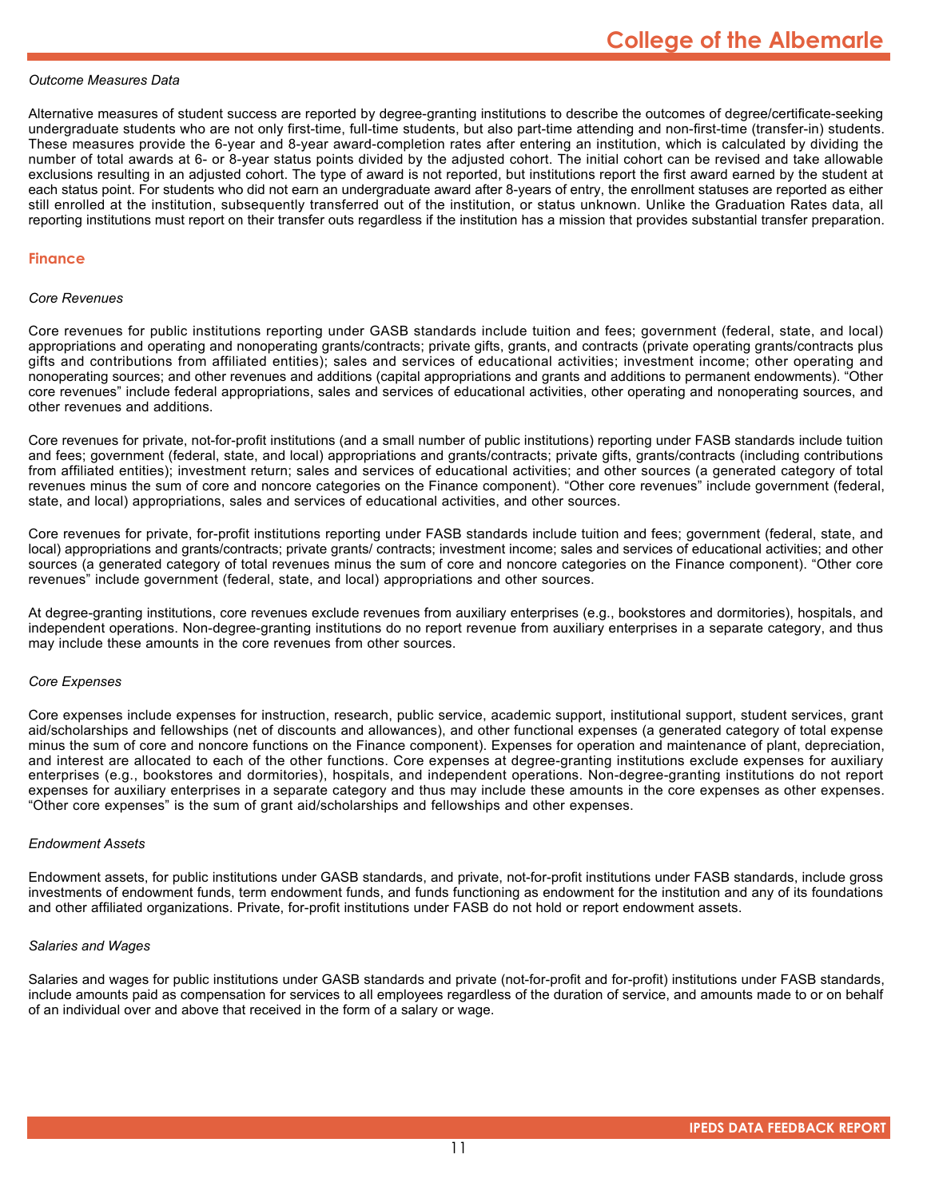#### *Outcome Measures Data*

Alternative measures of student success are reported by degree-granting institutions to describe the outcomes of degree/certificate-seeking undergraduate students who are not only first-time, full-time students, but also part-time attending and non-first-time (transfer-in) students. These measures provide the 6-year and 8-year award-completion rates after entering an institution, which is calculated by dividing the number of total awards at 6- or 8-year status points divided by the adjusted cohort. The initial cohort can be revised and take allowable exclusions resulting in an adjusted cohort. The type of award is not reported, but institutions report the first award earned by the student at each status point. For students who did not earn an undergraduate award after 8-years of entry, the enrollment statuses are reported as either still enrolled at the institution, subsequently transferred out of the institution, or status unknown. Unlike the Graduation Rates data, all reporting institutions must report on their transfer outs regardless if the institution has a mission that provides substantial transfer preparation.

#### **Finance**

#### *Core Revenues*

Core revenues for public institutions reporting under GASB standards include tuition and fees; government (federal, state, and local) appropriations and operating and nonoperating grants/contracts; private gifts, grants, and contracts (private operating grants/contracts plus gifts and contributions from affiliated entities); sales and services of educational activities; investment income; other operating and nonoperating sources; and other revenues and additions (capital appropriations and grants and additions to permanent endowments). "Other core revenues" include federal appropriations, sales and services of educational activities, other operating and nonoperating sources, and other revenues and additions.

Core revenues for private, not-for-profit institutions (and a small number of public institutions) reporting under FASB standards include tuition and fees; government (federal, state, and local) appropriations and grants/contracts; private gifts, grants/contracts (including contributions from affiliated entities); investment return; sales and services of educational activities; and other sources (a generated category of total revenues minus the sum of core and noncore categories on the Finance component). "Other core revenues" include government (federal, state, and local) appropriations, sales and services of educational activities, and other sources.

Core revenues for private, for-profit institutions reporting under FASB standards include tuition and fees; government (federal, state, and local) appropriations and grants/contracts; private grants/ contracts; investment income; sales and services of educational activities; and other sources (a generated category of total revenues minus the sum of core and noncore categories on the Finance component). "Other core revenues" include government (federal, state, and local) appropriations and other sources.

At degree-granting institutions, core revenues exclude revenues from auxiliary enterprises (e.g., bookstores and dormitories), hospitals, and independent operations. Non-degree-granting institutions do no report revenue from auxiliary enterprises in a separate category, and thus may include these amounts in the core revenues from other sources.

#### *Core Expenses*

Core expenses include expenses for instruction, research, public service, academic support, institutional support, student services, grant aid/scholarships and fellowships (net of discounts and allowances), and other functional expenses (a generated category of total expense minus the sum of core and noncore functions on the Finance component). Expenses for operation and maintenance of plant, depreciation, and interest are allocated to each of the other functions. Core expenses at degree-granting institutions exclude expenses for auxiliary enterprises (e.g., bookstores and dormitories), hospitals, and independent operations. Non-degree-granting institutions do not report expenses for auxiliary enterprises in a separate category and thus may include these amounts in the core expenses as other expenses. "Other core expenses" is the sum of grant aid/scholarships and fellowships and other expenses.

#### *Endowment Assets*

Endowment assets, for public institutions under GASB standards, and private, not-for-profit institutions under FASB standards, include gross investments of endowment funds, term endowment funds, and funds functioning as endowment for the institution and any of its foundations and other affiliated organizations. Private, for-profit institutions under FASB do not hold or report endowment assets.

#### *Salaries and Wages*

Salaries and wages for public institutions under GASB standards and private (not-for-profit and for-profit) institutions under FASB standards, include amounts paid as compensation for services to all employees regardless of the duration of service, and amounts made to or on behalf of an individual over and above that received in the form of a salary or wage.